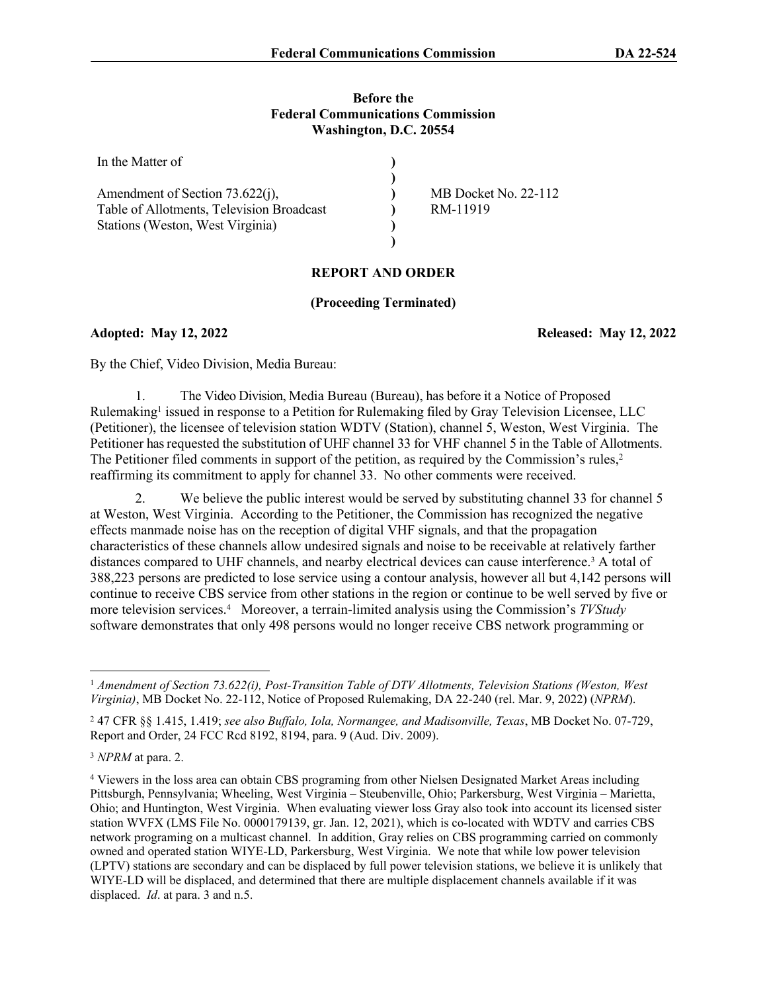## **Before the Federal Communications Commission Washington, D.C. 20554**

| In the Matter of                          |                      |
|-------------------------------------------|----------------------|
|                                           |                      |
| Amendment of Section 73.622(j),           | MB Docket No. 22-112 |
| Table of Allotments, Television Broadcast | RM-11919             |
| Stations (Weston, West Virginia)          |                      |
|                                           |                      |

## **REPORT AND ORDER**

## **(Proceeding Terminated)**

**Adopted: May 12, 2022 Released: May 12, 2022**

By the Chief, Video Division, Media Bureau:

1. The Video Division, Media Bureau (Bureau), has before it a Notice of Proposed Rulemaking<sup>1</sup> issued in response to a Petition for Rulemaking filed by Gray Television Licensee, LLC (Petitioner), the licensee of television station WDTV (Station), channel 5, Weston, West Virginia. The Petitioner has requested the substitution of UHF channel 33 for VHF channel 5 in the Table of Allotments. The Petitioner filed comments in support of the petition, as required by the Commission's rules,<sup>2</sup> reaffirming its commitment to apply for channel 33. No other comments were received.

2. We believe the public interest would be served by substituting channel 33 for channel 5 at Weston, West Virginia. According to the Petitioner, the Commission has recognized the negative effects manmade noise has on the reception of digital VHF signals, and that the propagation characteristics of these channels allow undesired signals and noise to be receivable at relatively farther distances compared to UHF channels, and nearby electrical devices can cause interference.<sup>3</sup> A total of 388,223 persons are predicted to lose service using a contour analysis, however all but 4,142 persons will continue to receive CBS service from other stations in the region or continue to be well served by five or more television services.<sup>4</sup> Moreover, a terrain-limited analysis using the Commission's *TVStudy* software demonstrates that only 498 persons would no longer receive CBS network programming or

<sup>&</sup>lt;sup>1</sup> Amendment of Section 73.622(i), Post-Transition Table of DTV Allotments, Television Stations (Weston, West *Virginia)*, MB Docket No. 22-112, Notice of Proposed Rulemaking, DA 22-240 (rel. Mar. 9, 2022) (*NPRM*).

<sup>2</sup> 47 CFR §§ 1.415, 1.419; *see also Buffalo, Iola, Normangee, and Madisonville, Texas*, MB Docket No. 07-729, Report and Order, 24 FCC Rcd 8192, 8194, para. 9 (Aud. Div. 2009).

<sup>3</sup> *NPRM* at para. 2.

<sup>4</sup> Viewers in the loss area can obtain CBS programing from other Nielsen Designated Market Areas including Pittsburgh, Pennsylvania; Wheeling, West Virginia – Steubenville, Ohio; Parkersburg, West Virginia – Marietta, Ohio; and Huntington, West Virginia. When evaluating viewer loss Gray also took into account its licensed sister station WVFX (LMS File No. 0000179139, gr. Jan. 12, 2021), which is co-located with WDTV and carries CBS network programing on a multicast channel. In addition, Gray relies on CBS programming carried on commonly owned and operated station WIYE-LD, Parkersburg, West Virginia. We note that while low power television (LPTV) stations are secondary and can be displaced by full power television stations, we believe it is unlikely that WIYE-LD will be displaced, and determined that there are multiple displacement channels available if it was displaced. *Id*. at para. 3 and n.5.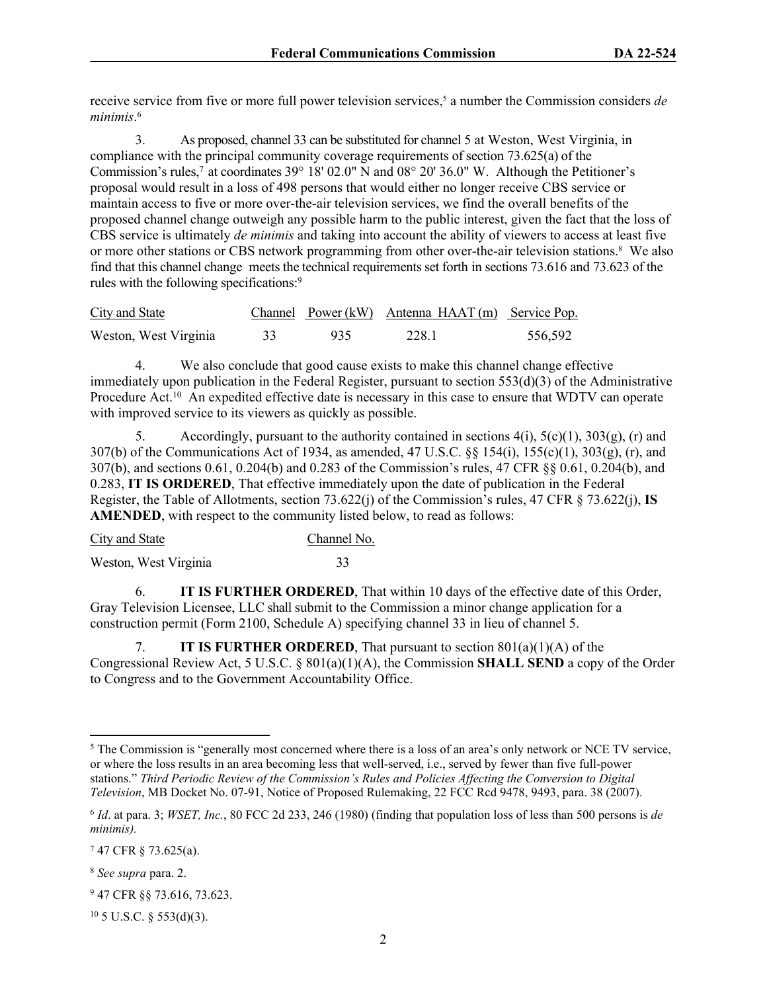receive service from five or more full power television services,<sup>5</sup> a number the Commission considers *de minimis*. 6

3. As proposed, channel 33 can be substituted for channel 5 at Weston, West Virginia, in compliance with the principal community coverage requirements of section 73.625(a) of the Commission's rules,<sup>7</sup> at coordinates 39° 18' 02.0" N and 08° 20' 36.0" W. Although the Petitioner's proposal would result in a loss of 498 persons that would either no longer receive CBS service or maintain access to five or more over-the-air television services, we find the overall benefits of the proposed channel change outweigh any possible harm to the public interest, given the fact that the loss of CBS service is ultimately *de minimis* and taking into account the ability of viewers to access at least five or more other stations or CBS network programming from other over-the-air television stations.<sup>8</sup> We also find that this channel change meets the technical requirements set forth in sections 73.616 and 73.623 of the rules with the following specifications:<sup>9</sup>

| <b>City and State</b> |    |     | Channel Power (kW) Antenna HAAT (m) Service Pop. |         |
|-----------------------|----|-----|--------------------------------------------------|---------|
| Weston, West Virginia | 33 | 935 | 228.1                                            | 556,592 |

4. We also conclude that good cause exists to make this channel change effective immediately upon publication in the Federal Register, pursuant to section 553(d)(3) of the Administrative Procedure Act.<sup>10</sup> An expedited effective date is necessary in this case to ensure that WDTV can operate with improved service to its viewers as quickly as possible.

5. Accordingly, pursuant to the authority contained in sections  $4(i)$ ,  $5(c)(1)$ ,  $303(g)$ , (r) and 307(b) of the Communications Act of 1934, as amended, 47 U.S.C. §§ 154(i), 155(c)(1), 303(g), (r), and 307(b), and sections 0.61, 0.204(b) and 0.283 of the Commission's rules, 47 CFR §§ 0.61, 0.204(b), and 0.283, **IT IS ORDERED**, That effective immediately upon the date of publication in the Federal Register, the Table of Allotments, section 73.622(j) of the Commission's rules, 47 CFR § 73.622(j), **IS AMENDED**, with respect to the community listed below, to read as follows:

| City and State        | Channel No. |
|-----------------------|-------------|
| Weston, West Virginia |             |

6. **IT IS FURTHER ORDERED**, That within 10 days of the effective date of this Order, Gray Television Licensee, LLC shall submit to the Commission a minor change application for a construction permit (Form 2100, Schedule A) specifying channel 33 in lieu of channel 5.

7. **IT IS FURTHER ORDERED**, That pursuant to section 801(a)(1)(A) of the Congressional Review Act, 5 U.S.C. § 801(a)(1)(A), the Commission **SHALL SEND** a copy of the Order to Congress and to the Government Accountability Office.

<sup>&</sup>lt;sup>5</sup> The Commission is "generally most concerned where there is a loss of an area's only network or NCE TV service, or where the loss results in an area becoming less that well-served, i.e., served by fewer than five full-power stations." *Third Periodic Review of the Commission's Rules and Policies Affecting the Conversion to Digital Television*, MB Docket No. 07-91, Notice of Proposed Rulemaking, 22 FCC Rcd 9478, 9493, para. 38 (2007).

<sup>6</sup> *Id*. at para. 3; *WSET, Inc.*, 80 FCC 2d 233, 246 (1980) (finding that population loss of less than 500 persons is *de minimis).*

<sup>7</sup> 47 CFR § 73.625(a).

<sup>8</sup> *See supra* para. 2.

<sup>9</sup> 47 CFR §§ 73.616, 73.623.

 $10$  5 U.S.C. § 553(d)(3).